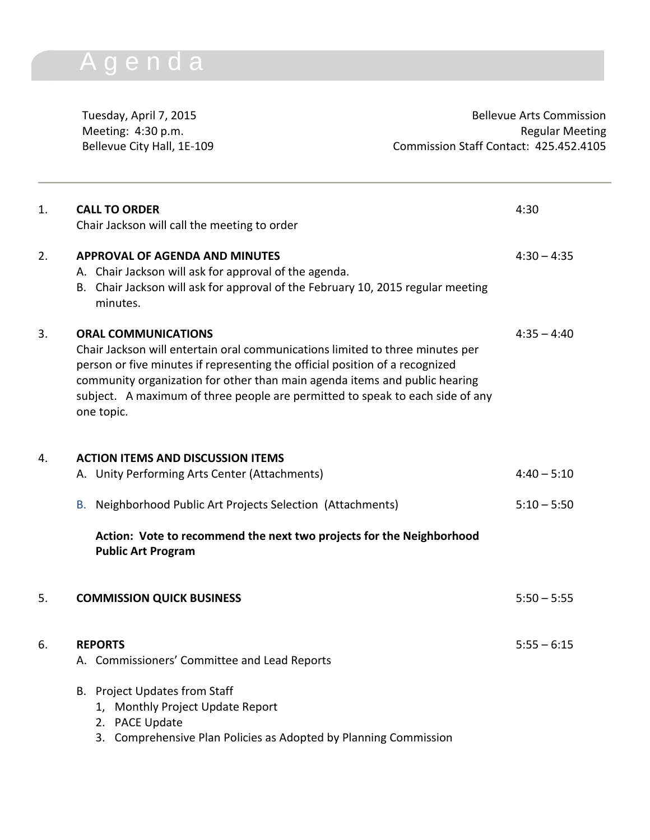## A g e n d a

Tuesday, April 7, 2015 **Bellevue Arts Commission** Meeting: 4:30 p.m. **Regular Meeting** Bellevue City Hall, 1E-109 Commission Staff Contact: 425.452.4105

| 1. | <b>CALL TO ORDER</b><br>Chair Jackson will call the meeting to order                                                                                                                                                                                                                                                                                                     | 4:30          |
|----|--------------------------------------------------------------------------------------------------------------------------------------------------------------------------------------------------------------------------------------------------------------------------------------------------------------------------------------------------------------------------|---------------|
| 2. | <b>APPROVAL OF AGENDA AND MINUTES</b><br>A. Chair Jackson will ask for approval of the agenda.<br>B. Chair Jackson will ask for approval of the February 10, 2015 regular meeting<br>minutes.                                                                                                                                                                            | $4:30 - 4:35$ |
| 3. | <b>ORAL COMMUNICATIONS</b><br>Chair Jackson will entertain oral communications limited to three minutes per<br>person or five minutes if representing the official position of a recognized<br>community organization for other than main agenda items and public hearing<br>subject. A maximum of three people are permitted to speak to each side of any<br>one topic. | $4:35 - 4:40$ |
| 4. | <b>ACTION ITEMS AND DISCUSSION ITEMS</b>                                                                                                                                                                                                                                                                                                                                 |               |
|    | A. Unity Performing Arts Center (Attachments)                                                                                                                                                                                                                                                                                                                            | $4:40 - 5:10$ |
|    | B. Neighborhood Public Art Projects Selection (Attachments)                                                                                                                                                                                                                                                                                                              | $5:10 - 5:50$ |
|    | Action: Vote to recommend the next two projects for the Neighborhood<br><b>Public Art Program</b>                                                                                                                                                                                                                                                                        |               |
| 5. | <b>COMMISSION QUICK BUSINESS</b>                                                                                                                                                                                                                                                                                                                                         | $5:50 - 5:55$ |
| 6. | <b>REPORTS</b><br>A. Commissioners' Committee and Lead Reports                                                                                                                                                                                                                                                                                                           | $5:55 - 6:15$ |
|    | B. Project Updates from Staff<br>1, Monthly Project Update Report<br>2. PACE Update<br>3. Comprehensive Plan Policies as Adopted by Planning Commission                                                                                                                                                                                                                  |               |